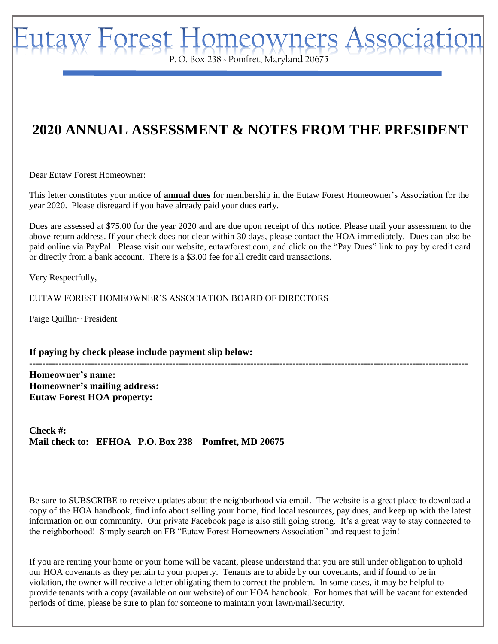aw Forest Homeowners. P. O. Box 238 ~ Pomfret, Maryland 20675

## **2020 ANNUAL ASSESSMENT & NOTES FROM THE PRESIDENT**

Dear Eutaw Forest Homeowner:

This letter constitutes your notice of **annual dues** for membership in the Eutaw Forest Homeowner's Association for the year 2020. Please disregard if you have already paid your dues early.

Dues are assessed at \$75.00 for the year 2020 and are due upon receipt of this notice. Please mail your assessment to the above return address. If your check does not clear within 30 days, please contact the HOA immediately. Dues can also be paid online via PayPal. Please visit our website, eutawforest.com, and click on the "Pay Dues" link to pay by credit card or directly from a bank account. There is a \$3.00 fee for all credit card transactions.

Very Respectfully,

EUTAW FOREST HOMEOWNER'S ASSOCIATION BOARD OF DIRECTORS

Paige Quillin~ President

**If paying by check please include payment slip below:** 

**--------------------------------------------------------------------------------------------------------------------------------------- Homeowner's name: Homeowner's mailing address: Eutaw Forest HOA property:** 

**Check #: Mail check to: EFHOA P.O. Box 238 Pomfret, MD 20675** 

Be sure to SUBSCRIBE to receive updates about the neighborhood via email. The website is a great place to download a copy of the HOA handbook, find info about selling your home, find local resources, pay dues, and keep up with the latest information on our community. Our private Facebook page is also still going strong. It's a great way to stay connected to the neighborhood! Simply search on FB "Eutaw Forest Homeowners Association" and request to join!

If you are renting your home or your home will be vacant, please understand that you are still under obligation to uphold our HOA covenants as they pertain to your property. Tenants are to abide by our covenants, and if found to be in violation, the owner will receive a letter obligating them to correct the problem. In some cases, it may be helpful to provide tenants with a copy (available on our website) of our HOA handbook. For homes that will be vacant for extended periods of time, please be sure to plan for someone to maintain your lawn/mail/security.